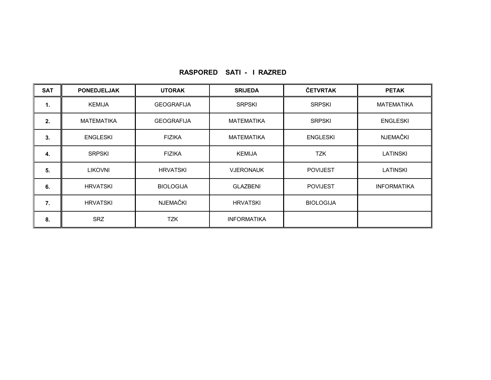| <b>SAT</b> | <b>PONEDJELJAK</b> | <b>UTORAK</b>     | <b>SRIJEDA</b>     | ČETVRTAK         | <b>PETAK</b>       |
|------------|--------------------|-------------------|--------------------|------------------|--------------------|
| 1.         | <b>KEMIJA</b>      | <b>GEOGRAFIJA</b> | <b>SRPSKI</b>      | <b>SRPSKI</b>    | MATEMATIKA         |
| 2.         | <b>MATEMATIKA</b>  | <b>GEOGRAFIJA</b> | <b>MATEMATIKA</b>  | <b>SRPSKI</b>    | <b>ENGLESKI</b>    |
| 3.         | <b>ENGLESKI</b>    | <b>FIZIKA</b>     | <b>MATEMATIKA</b>  | <b>ENGLESKI</b>  | <b>NJEMAČKI</b>    |
| 4.         | <b>SRPSKI</b>      | <b>FIZIKA</b>     | <b>KEMIJA</b>      | <b>TZK</b>       | <b>LATINSKI</b>    |
| 5.         | <b>LIKOVNI</b>     | <b>HRVATSKI</b>   | <b>VJERONAUK</b>   | <b>POVIJEST</b>  | <b>LATINSKI</b>    |
| 6.         | <b>HRVATSKI</b>    | <b>BIOLOGIJA</b>  | <b>GLAZBENI</b>    | <b>POVIJEST</b>  | <b>INFORMATIKA</b> |
| 7.         | <b>HRVATSKI</b>    | NJEMAČKI          | <b>HRVATSKI</b>    | <b>BIOLOGIJA</b> |                    |
| 8.         | <b>SRZ</b>         | <b>TZK</b>        | <b>INFORMATIKA</b> |                  |                    |

## **RASPORED SATI - I RAZRED**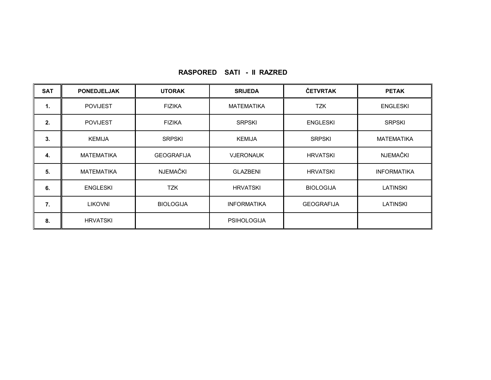| <b>SAT</b>   | <b>PONEDJELJAK</b> | <b>UTORAK</b>     | <b>SRIJEDA</b>     | ČETVRTAK          | <b>PETAK</b>       |
|--------------|--------------------|-------------------|--------------------|-------------------|--------------------|
| $\mathbf{1}$ | <b>POVIJEST</b>    | <b>FIZIKA</b>     | <b>MATEMATIKA</b>  | <b>TZK</b>        | <b>ENGLESKI</b>    |
| 2.           | <b>POVIJEST</b>    | <b>FIZIKA</b>     | <b>SRPSKI</b>      | <b>ENGLESKI</b>   | <b>SRPSKI</b>      |
| 3.           | <b>KEMIJA</b>      | <b>SRPSKI</b>     | <b>KEMIJA</b>      | <b>SRPSKI</b>     | <b>MATEMATIKA</b>  |
| 4.           | <b>MATEMATIKA</b>  | <b>GEOGRAFIJA</b> | <b>VJERONAUK</b>   | <b>HRVATSKI</b>   | <b>NJEMAČKI</b>    |
| 5.           | <b>MATEMATIKA</b>  | <b>NJEMAČKI</b>   | <b>GLAZBENI</b>    | <b>HRVATSKI</b>   | <b>INFORMATIKA</b> |
| 6.           | <b>ENGLESKI</b>    | <b>TZK</b>        | <b>HRVATSKI</b>    | <b>BIOLOGIJA</b>  | LATINSKI           |
| 7.           | <b>LIKOVNI</b>     | <b>BIOLOGIJA</b>  | <b>INFORMATIKA</b> | <b>GEOGRAFIJA</b> | <b>LATINSKI</b>    |
| 8.           | <b>HRVATSKI</b>    |                   | <b>PSIHOLOGIJA</b> |                   |                    |

## **RASPORED SATI - II RAZRED**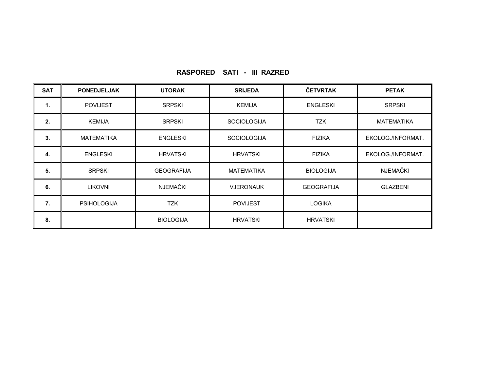| <b>SAT</b> | <b>PONEDJELJAK</b> | <b>UTORAK</b>     | <b>SRIJEDA</b>     | ČETVRTAK          | <b>PETAK</b>      |
|------------|--------------------|-------------------|--------------------|-------------------|-------------------|
| 1.         | <b>POVIJEST</b>    | <b>SRPSKI</b>     | <b>KEMIJA</b>      | <b>ENGLESKI</b>   | <b>SRPSKI</b>     |
| 2.         | <b>KEMIJA</b>      | <b>SRPSKI</b>     | <b>SOCIOLOGIJA</b> | <b>TZK</b>        | <b>MATEMATIKA</b> |
| 3.         | <b>MATEMATIKA</b>  | <b>ENGLESKI</b>   | <b>SOCIOLOGIJA</b> | <b>FIZIKA</b>     | EKOLOG./INFORMAT. |
| 4.         | <b>ENGLESKI</b>    | <b>HRVATSKI</b>   | <b>HRVATSKI</b>    | <b>FIZIKA</b>     | EKOLOG./INFORMAT. |
| 5.         | <b>SRPSKI</b>      | <b>GEOGRAFIJA</b> | <b>MATEMATIKA</b>  | <b>BIOLOGIJA</b>  | <b>NJEMAČKI</b>   |
| 6.         | <b>LIKOVNI</b>     | NJEMAČKI          | <b>VJERONAUK</b>   | <b>GEOGRAFIJA</b> | <b>GLAZBENI</b>   |
| 7.         | <b>PSIHOLOGIJA</b> | <b>TZK</b>        | <b>POVIJEST</b>    | <b>LOGIKA</b>     |                   |
| 8.         |                    | <b>BIOLOGIJA</b>  | <b>HRVATSKI</b>    | <b>HRVATSKI</b>   |                   |

## **RASPORED SATI - III RAZRED**